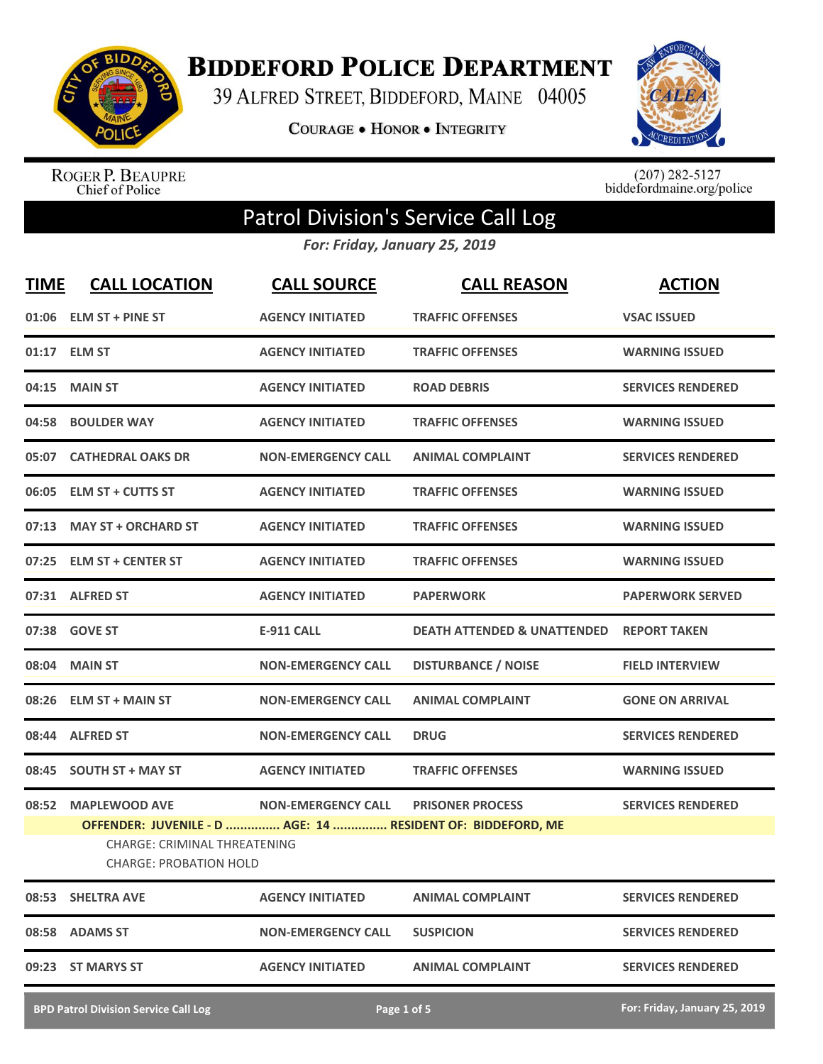

**BIDDEFORD POLICE DEPARTMENT** 

39 ALFRED STREET, BIDDEFORD, MAINE 04005

**COURAGE . HONOR . INTEGRITY** 



ROGER P. BEAUPRE<br>Chief of Police

 $(207)$  282-5127<br>biddefordmaine.org/police

## Patrol Division's Service Call Log

*For: Friday, January 25, 2019*

| <b>TIME</b> | <b>CALL LOCATION</b>                                                                  | <b>CALL SOURCE</b>        | <b>CALL REASON</b>                                                                     | <b>ACTION</b>                 |
|-------------|---------------------------------------------------------------------------------------|---------------------------|----------------------------------------------------------------------------------------|-------------------------------|
|             | 01:06 ELM ST + PINE ST                                                                | <b>AGENCY INITIATED</b>   | <b>TRAFFIC OFFENSES</b>                                                                | <b>VSAC ISSUED</b>            |
|             | 01:17 ELM ST                                                                          | <b>AGENCY INITIATED</b>   | <b>TRAFFIC OFFENSES</b>                                                                | <b>WARNING ISSUED</b>         |
| 04:15       | <b>MAIN ST</b>                                                                        | <b>AGENCY INITIATED</b>   | <b>ROAD DEBRIS</b>                                                                     | <b>SERVICES RENDERED</b>      |
|             | 04:58 BOULDER WAY                                                                     | <b>AGENCY INITIATED</b>   | <b>TRAFFIC OFFENSES</b>                                                                | <b>WARNING ISSUED</b>         |
|             | 05:07 CATHEDRAL OAKS DR                                                               | <b>NON-EMERGENCY CALL</b> | <b>ANIMAL COMPLAINT</b>                                                                | <b>SERVICES RENDERED</b>      |
|             | 06:05 ELM ST + CUTTS ST                                                               | <b>AGENCY INITIATED</b>   | <b>TRAFFIC OFFENSES</b>                                                                | <b>WARNING ISSUED</b>         |
|             | 07:13 MAY ST + ORCHARD ST                                                             | <b>AGENCY INITIATED</b>   | <b>TRAFFIC OFFENSES</b>                                                                | <b>WARNING ISSUED</b>         |
|             | 07:25 ELM ST + CENTER ST                                                              | <b>AGENCY INITIATED</b>   | <b>TRAFFIC OFFENSES</b>                                                                | <b>WARNING ISSUED</b>         |
|             | 07:31 ALFRED ST                                                                       | <b>AGENCY INITIATED</b>   | <b>PAPERWORK</b>                                                                       | <b>PAPERWORK SERVED</b>       |
|             | 07:38 GOVE ST                                                                         | E-911 CALL                | <b>DEATH ATTENDED &amp; UNATTENDED</b>                                                 | <b>REPORT TAKEN</b>           |
|             | 08:04 MAIN ST                                                                         | <b>NON-EMERGENCY CALL</b> | <b>DISTURBANCE / NOISE</b>                                                             | <b>FIELD INTERVIEW</b>        |
|             | 08:26 ELM ST + MAIN ST                                                                | <b>NON-EMERGENCY CALL</b> | <b>ANIMAL COMPLAINT</b>                                                                | <b>GONE ON ARRIVAL</b>        |
|             | 08:44 ALFRED ST                                                                       | <b>NON-EMERGENCY CALL</b> | <b>DRUG</b>                                                                            | <b>SERVICES RENDERED</b>      |
| 08:45       | <b>SOUTH ST + MAY ST</b>                                                              | <b>AGENCY INITIATED</b>   | <b>TRAFFIC OFFENSES</b>                                                                | <b>WARNING ISSUED</b>         |
| 08:52       | <b>MAPLEWOOD AVE</b><br>CHARGE: CRIMINAL THREATENING<br><b>CHARGE: PROBATION HOLD</b> | <b>NON-EMERGENCY CALL</b> | <b>PRISONER PROCESS</b><br>OFFENDER: JUVENILE - D  AGE: 14  RESIDENT OF: BIDDEFORD, ME | <b>SERVICES RENDERED</b>      |
|             | 08:53 SHELTRA AVE                                                                     | <b>AGENCY INITIATED</b>   | <b>ANIMAL COMPLAINT</b>                                                                | <b>SERVICES RENDERED</b>      |
|             | 08:58 ADAMS ST                                                                        | <b>NON-EMERGENCY CALL</b> | <b>SUSPICION</b>                                                                       | <b>SERVICES RENDERED</b>      |
|             | 09:23 ST MARYS ST                                                                     | <b>AGENCY INITIATED</b>   | <b>ANIMAL COMPLAINT</b>                                                                | <b>SERVICES RENDERED</b>      |
|             | <b>BPD Patrol Division Service Call Log</b>                                           |                           | Page 1 of 5                                                                            | For: Friday, January 25, 2019 |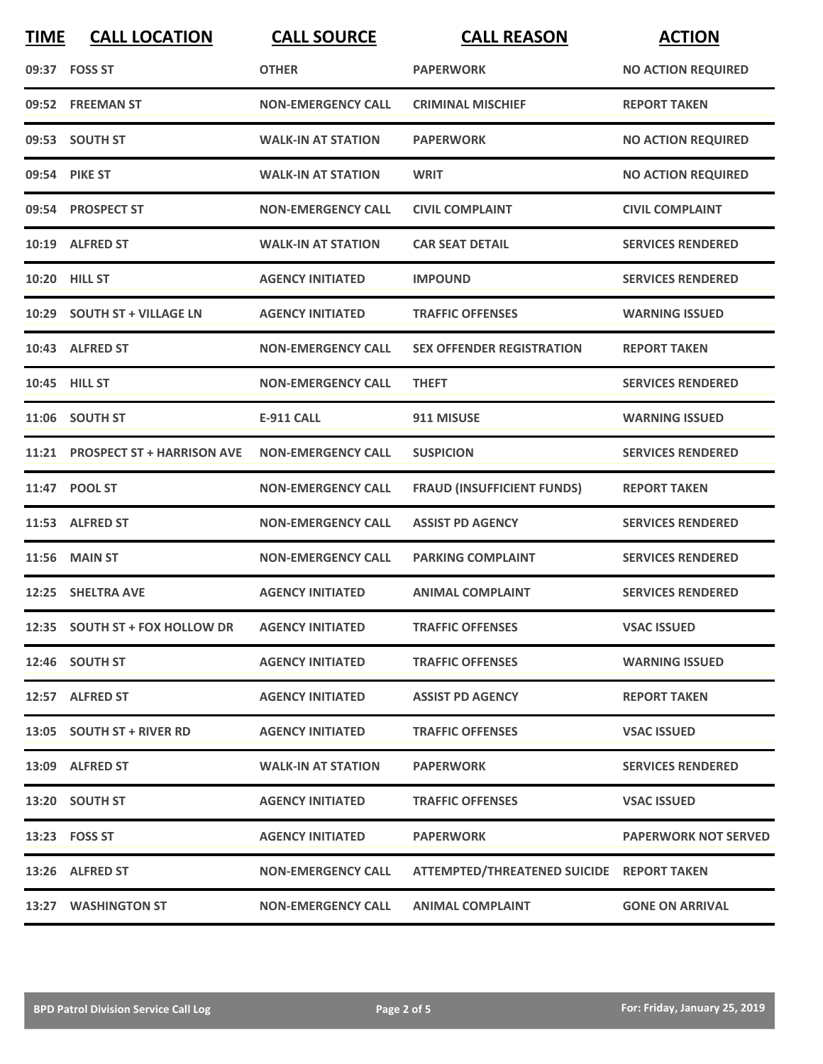| <b>TIME</b> | <b>CALL LOCATION</b>             | <b>CALL SOURCE</b>        | <b>CALL REASON</b>                        | <b>ACTION</b>               |
|-------------|----------------------------------|---------------------------|-------------------------------------------|-----------------------------|
|             | 09:37 FOSS ST                    | <b>OTHER</b>              | <b>PAPERWORK</b>                          | <b>NO ACTION REQUIRED</b>   |
|             | 09:52 FREEMAN ST                 | <b>NON-EMERGENCY CALL</b> | <b>CRIMINAL MISCHIEF</b>                  | <b>REPORT TAKEN</b>         |
|             | 09:53 SOUTH ST                   | <b>WALK-IN AT STATION</b> | <b>PAPERWORK</b>                          | <b>NO ACTION REQUIRED</b>   |
|             | 09:54 PIKE ST                    | <b>WALK-IN AT STATION</b> | <b>WRIT</b>                               | <b>NO ACTION REQUIRED</b>   |
|             | 09:54 PROSPECT ST                | <b>NON-EMERGENCY CALL</b> | <b>CIVIL COMPLAINT</b>                    | <b>CIVIL COMPLAINT</b>      |
|             | 10:19 ALFRED ST                  | <b>WALK-IN AT STATION</b> | <b>CAR SEAT DETAIL</b>                    | <b>SERVICES RENDERED</b>    |
|             | 10:20 HILL ST                    | <b>AGENCY INITIATED</b>   | <b>IMPOUND</b>                            | <b>SERVICES RENDERED</b>    |
| 10:29       | <b>SOUTH ST + VILLAGE LN</b>     | <b>AGENCY INITIATED</b>   | <b>TRAFFIC OFFENSES</b>                   | <b>WARNING ISSUED</b>       |
|             | 10:43 ALFRED ST                  | <b>NON-EMERGENCY CALL</b> | <b>SEX OFFENDER REGISTRATION</b>          | <b>REPORT TAKEN</b>         |
|             | 10:45 HILL ST                    | <b>NON-EMERGENCY CALL</b> | <b>THEFT</b>                              | <b>SERVICES RENDERED</b>    |
|             | 11:06 SOUTH ST                   | <b>E-911 CALL</b>         | 911 MISUSE                                | <b>WARNING ISSUED</b>       |
|             | 11:21 PROSPECT ST + HARRISON AVE | <b>NON-EMERGENCY CALL</b> | <b>SUSPICION</b>                          | <b>SERVICES RENDERED</b>    |
|             | 11:47 POOL ST                    | <b>NON-EMERGENCY CALL</b> | <b>FRAUD (INSUFFICIENT FUNDS)</b>         | <b>REPORT TAKEN</b>         |
|             | 11:53 ALFRED ST                  | <b>NON-EMERGENCY CALL</b> | <b>ASSIST PD AGENCY</b>                   | <b>SERVICES RENDERED</b>    |
| 11:56       | <b>MAIN ST</b>                   | <b>NON-EMERGENCY CALL</b> | <b>PARKING COMPLAINT</b>                  | <b>SERVICES RENDERED</b>    |
| 12:25       | <b>SHELTRA AVE</b>               | <b>AGENCY INITIATED</b>   | <b>ANIMAL COMPLAINT</b>                   | <b>SERVICES RENDERED</b>    |
|             | 12:35 SOUTH ST + FOX HOLLOW DR   | <b>AGENCY INITIATED</b>   | <b>TRAFFIC OFFENSES</b>                   | <b>VSAC ISSUED</b>          |
|             | 12:46 SOUTH ST                   | <b>AGENCY INITIATED</b>   | <b>TRAFFIC OFFENSES</b>                   | <b>WARNING ISSUED</b>       |
|             | 12:57 ALFRED ST                  | <b>AGENCY INITIATED</b>   | <b>ASSIST PD AGENCY</b>                   | <b>REPORT TAKEN</b>         |
|             | 13:05 SOUTH ST + RIVER RD        | <b>AGENCY INITIATED</b>   | <b>TRAFFIC OFFENSES</b>                   | <b>VSAC ISSUED</b>          |
|             | 13:09 ALFRED ST                  | <b>WALK-IN AT STATION</b> | <b>PAPERWORK</b>                          | <b>SERVICES RENDERED</b>    |
|             | 13:20 SOUTH ST                   | <b>AGENCY INITIATED</b>   | <b>TRAFFIC OFFENSES</b>                   | <b>VSAC ISSUED</b>          |
|             | 13:23 FOSS ST                    | <b>AGENCY INITIATED</b>   | <b>PAPERWORK</b>                          | <b>PAPERWORK NOT SERVED</b> |
|             | 13:26 ALFRED ST                  | <b>NON-EMERGENCY CALL</b> | ATTEMPTED/THREATENED SUICIDE REPORT TAKEN |                             |
|             | 13:27 WASHINGTON ST              | <b>NON-EMERGENCY CALL</b> | <b>ANIMAL COMPLAINT</b>                   | <b>GONE ON ARRIVAL</b>      |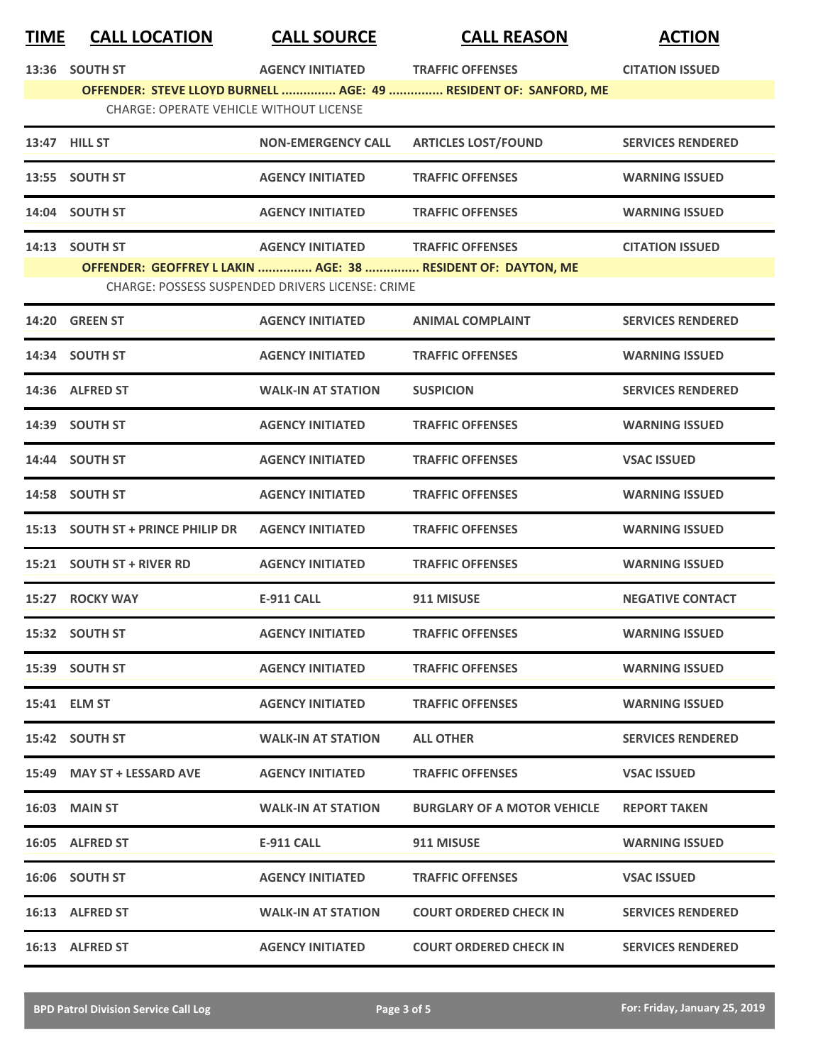| <b>TIME</b> | <b>CALL LOCATION</b>                           | <b>CALL SOURCE</b>                                      | <b>CALL REASON</b>                                               | <b>ACTION</b>            |
|-------------|------------------------------------------------|---------------------------------------------------------|------------------------------------------------------------------|--------------------------|
|             | 13:36 SOUTH ST                                 | <b>AGENCY INITIATED</b>                                 | <b>TRAFFIC OFFENSES</b>                                          | <b>CITATION ISSUED</b>   |
|             | <b>CHARGE: OPERATE VEHICLE WITHOUT LICENSE</b> |                                                         | OFFENDER: STEVE LLOYD BURNELL  AGE: 49  RESIDENT OF: SANFORD, ME |                          |
|             |                                                |                                                         |                                                                  |                          |
|             | 13:47 HILL ST                                  | <b>NON-EMERGENCY CALL</b>                               | <b>ARTICLES LOST/FOUND</b>                                       | <b>SERVICES RENDERED</b> |
|             | 13:55 SOUTH ST                                 | <b>AGENCY INITIATED</b>                                 | <b>TRAFFIC OFFENSES</b>                                          | <b>WARNING ISSUED</b>    |
|             | 14:04 SOUTH ST                                 | <b>AGENCY INITIATED</b>                                 | <b>TRAFFIC OFFENSES</b>                                          | <b>WARNING ISSUED</b>    |
|             | 14:13 SOUTH ST                                 | <b>AGENCY INITIATED</b>                                 | <b>TRAFFIC OFFENSES</b>                                          | <b>CITATION ISSUED</b>   |
|             |                                                | <b>CHARGE: POSSESS SUSPENDED DRIVERS LICENSE: CRIME</b> | OFFENDER: GEOFFREY L LAKIN  AGE: 38  RESIDENT OF: DAYTON, ME     |                          |
|             | <b>14:20 GREEN ST</b>                          | <b>AGENCY INITIATED</b>                                 | <b>ANIMAL COMPLAINT</b>                                          | <b>SERVICES RENDERED</b> |
|             | 14:34 SOUTH ST                                 | <b>AGENCY INITIATED</b>                                 | <b>TRAFFIC OFFENSES</b>                                          | <b>WARNING ISSUED</b>    |
|             | 14:36 ALFRED ST                                | <b>WALK-IN AT STATION</b>                               | <b>SUSPICION</b>                                                 | <b>SERVICES RENDERED</b> |
|             | 14:39 SOUTH ST                                 | <b>AGENCY INITIATED</b>                                 | <b>TRAFFIC OFFENSES</b>                                          | <b>WARNING ISSUED</b>    |
|             | 14:44 SOUTH ST                                 | <b>AGENCY INITIATED</b>                                 | <b>TRAFFIC OFFENSES</b>                                          | <b>VSAC ISSUED</b>       |
|             | 14:58 SOUTH ST                                 | <b>AGENCY INITIATED</b>                                 | <b>TRAFFIC OFFENSES</b>                                          | <b>WARNING ISSUED</b>    |
|             | 15:13 SOUTH ST + PRINCE PHILIP DR              | <b>AGENCY INITIATED</b>                                 | <b>TRAFFIC OFFENSES</b>                                          | <b>WARNING ISSUED</b>    |
|             | 15:21 SOUTH ST + RIVER RD                      | <b>AGENCY INITIATED</b>                                 | <b>TRAFFIC OFFENSES</b>                                          | <b>WARNING ISSUED</b>    |
|             | 15:27 ROCKY WAY                                | <b>E-911 CALL</b>                                       | 911 MISUSE                                                       | <b>NEGATIVE CONTACT</b>  |
|             | 15:32 SOUTH ST                                 | <b>AGENCY INITIATED</b>                                 | <b>TRAFFIC OFFENSES</b>                                          | <b>WARNING ISSUED</b>    |
|             | 15:39 SOUTH ST                                 | <b>AGENCY INITIATED</b>                                 | <b>TRAFFIC OFFENSES</b>                                          | <b>WARNING ISSUED</b>    |
|             | 15:41 ELM ST                                   | <b>AGENCY INITIATED</b>                                 | <b>TRAFFIC OFFENSES</b>                                          | <b>WARNING ISSUED</b>    |
|             | 15:42 SOUTH ST                                 | <b>WALK-IN AT STATION</b>                               | <b>ALL OTHER</b>                                                 | <b>SERVICES RENDERED</b> |
|             | 15:49 MAY ST + LESSARD AVE                     | <b>AGENCY INITIATED</b>                                 | <b>TRAFFIC OFFENSES</b>                                          | <b>VSAC ISSUED</b>       |
|             | <b>16:03 MAIN ST</b>                           | <b>WALK-IN AT STATION</b>                               | <b>BURGLARY OF A MOTOR VEHICLE</b>                               | <b>REPORT TAKEN</b>      |
|             | 16:05 ALFRED ST                                | E-911 CALL                                              | 911 MISUSE                                                       | <b>WARNING ISSUED</b>    |
|             | 16:06 SOUTH ST                                 | <b>AGENCY INITIATED</b>                                 | <b>TRAFFIC OFFENSES</b>                                          | <b>VSAC ISSUED</b>       |
|             | 16:13 ALFRED ST                                | <b>WALK-IN AT STATION</b>                               | <b>COURT ORDERED CHECK IN</b>                                    | <b>SERVICES RENDERED</b> |
|             | 16:13 ALFRED ST                                | <b>AGENCY INITIATED</b>                                 | <b>COURT ORDERED CHECK IN</b>                                    | <b>SERVICES RENDERED</b> |
|             |                                                |                                                         |                                                                  |                          |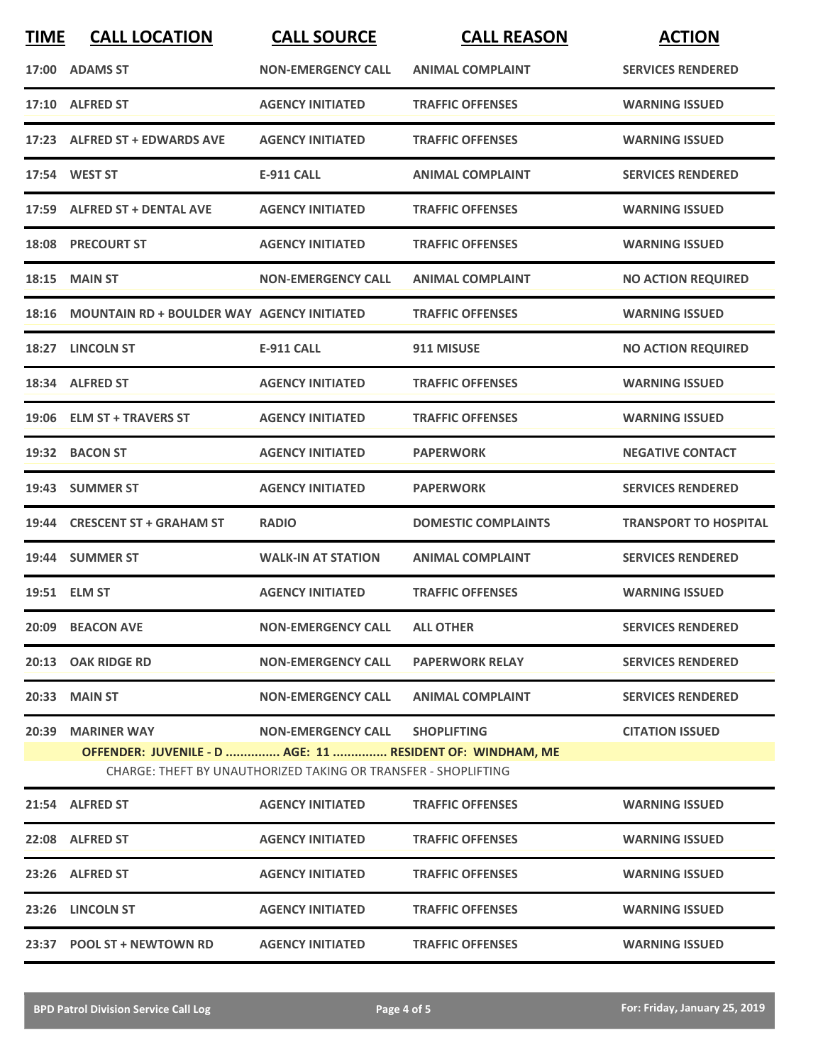| <b>TIME</b> | <b>CALL LOCATION</b>                                                                                                                             | <b>CALL SOURCE</b>             | <b>CALL REASON</b>         | <b>ACTION</b>                |
|-------------|--------------------------------------------------------------------------------------------------------------------------------------------------|--------------------------------|----------------------------|------------------------------|
|             | 17:00 ADAMS ST                                                                                                                                   | <b>NON-EMERGENCY CALL</b>      | <b>ANIMAL COMPLAINT</b>    | <b>SERVICES RENDERED</b>     |
|             | 17:10 ALFRED ST                                                                                                                                  | <b>AGENCY INITIATED</b>        | <b>TRAFFIC OFFENSES</b>    | <b>WARNING ISSUED</b>        |
|             | 17:23 ALFRED ST + EDWARDS AVE                                                                                                                    | <b>AGENCY INITIATED</b>        | <b>TRAFFIC OFFENSES</b>    | <b>WARNING ISSUED</b>        |
|             | 17:54 WEST ST                                                                                                                                    | E-911 CALL                     | <b>ANIMAL COMPLAINT</b>    | <b>SERVICES RENDERED</b>     |
|             | 17:59 ALFRED ST + DENTAL AVE                                                                                                                     | <b>AGENCY INITIATED</b>        | <b>TRAFFIC OFFENSES</b>    | <b>WARNING ISSUED</b>        |
|             | <b>18:08 PRECOURT ST</b>                                                                                                                         | <b>AGENCY INITIATED</b>        | <b>TRAFFIC OFFENSES</b>    | <b>WARNING ISSUED</b>        |
| 18:15       | <b>MAIN ST</b>                                                                                                                                   | <b>NON-EMERGENCY CALL</b>      | <b>ANIMAL COMPLAINT</b>    | <b>NO ACTION REQUIRED</b>    |
| 18:16       | <b>MOUNTAIN RD + BOULDER WAY AGENCY INITIATED</b>                                                                                                |                                | <b>TRAFFIC OFFENSES</b>    | <b>WARNING ISSUED</b>        |
| 18:27       | <b>LINCOLN ST</b>                                                                                                                                | <b>E-911 CALL</b>              | 911 MISUSE                 | <b>NO ACTION REQUIRED</b>    |
|             | 18:34 ALFRED ST                                                                                                                                  | <b>AGENCY INITIATED</b>        | <b>TRAFFIC OFFENSES</b>    | <b>WARNING ISSUED</b>        |
|             | 19:06 ELM ST + TRAVERS ST                                                                                                                        | <b>AGENCY INITIATED</b>        | <b>TRAFFIC OFFENSES</b>    | <b>WARNING ISSUED</b>        |
|             | 19:32 BACON ST                                                                                                                                   | <b>AGENCY INITIATED</b>        | <b>PAPERWORK</b>           | <b>NEGATIVE CONTACT</b>      |
|             | 19:43 SUMMER ST                                                                                                                                  | <b>AGENCY INITIATED</b>        | <b>PAPERWORK</b>           | <b>SERVICES RENDERED</b>     |
|             | 19:44 CRESCENT ST + GRAHAM ST                                                                                                                    | <b>RADIO</b>                   | <b>DOMESTIC COMPLAINTS</b> | <b>TRANSPORT TO HOSPITAL</b> |
|             | 19:44 SUMMER ST                                                                                                                                  | <b>WALK-IN AT STATION</b>      | <b>ANIMAL COMPLAINT</b>    | <b>SERVICES RENDERED</b>     |
|             | 19:51 ELM ST                                                                                                                                     | <b>AGENCY INITIATED</b>        | <b>TRAFFIC OFFENSES</b>    | <b>WARNING ISSUED</b>        |
|             | 20:09 BEACON AVE                                                                                                                                 | NON-EMERGENCY CALL ALL OTHER   |                            | <b>SERVICES RENDERED</b>     |
|             | 20:13 OAK RIDGE RD                                                                                                                               | <b>NON-EMERGENCY CALL</b>      | <b>PAPERWORK RELAY</b>     | <b>SERVICES RENDERED</b>     |
|             | 20:33 MAIN ST                                                                                                                                    | <b>NON-EMERGENCY CALL</b>      | <b>ANIMAL COMPLAINT</b>    | <b>SERVICES RENDERED</b>     |
|             | 20:39 MARINER WAY<br>OFFENDER: JUVENILE - D  AGE: 11  RESIDENT OF: WINDHAM, ME<br>CHARGE: THEFT BY UNAUTHORIZED TAKING OR TRANSFER - SHOPLIFTING | NON-EMERGENCY CALL SHOPLIFTING |                            | <b>CITATION ISSUED</b>       |
|             | 21:54 ALFRED ST                                                                                                                                  | <b>AGENCY INITIATED</b>        | <b>TRAFFIC OFFENSES</b>    | <b>WARNING ISSUED</b>        |
|             | 22:08 ALFRED ST                                                                                                                                  | <b>AGENCY INITIATED</b>        | <b>TRAFFIC OFFENSES</b>    | <b>WARNING ISSUED</b>        |
|             | 23:26 ALFRED ST                                                                                                                                  | <b>AGENCY INITIATED</b>        | <b>TRAFFIC OFFENSES</b>    | <b>WARNING ISSUED</b>        |
|             | 23:26 LINCOLN ST                                                                                                                                 | <b>AGENCY INITIATED</b>        | <b>TRAFFIC OFFENSES</b>    | <b>WARNING ISSUED</b>        |
|             | 23:37 POOL ST + NEWTOWN RD                                                                                                                       | <b>AGENCY INITIATED</b>        | <b>TRAFFIC OFFENSES</b>    | <b>WARNING ISSUED</b>        |